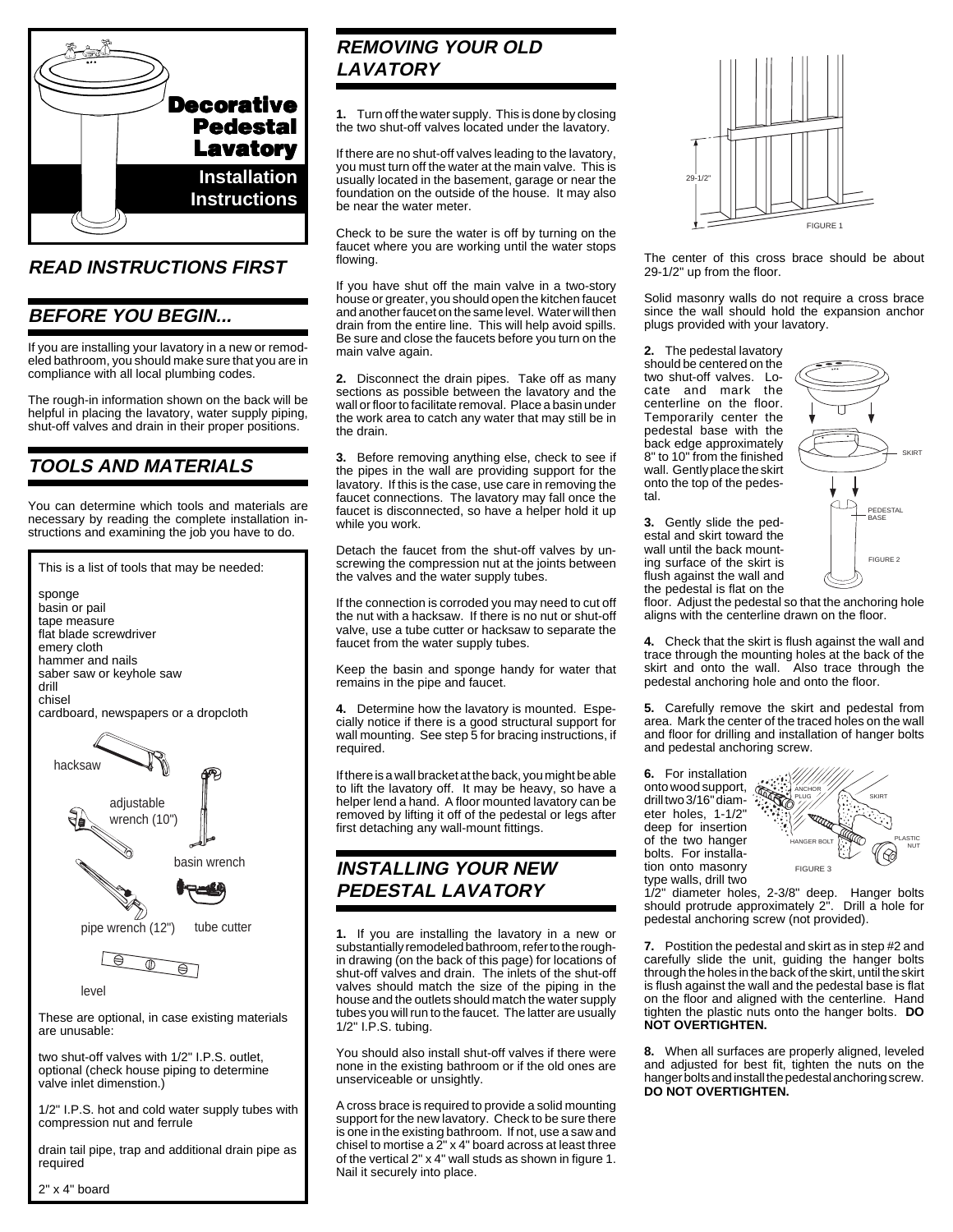

### **READ INSTRUCTIONS FIRST**

#### **BEFORE YOU BEGIN...**

If you are installing your lavatory in a new or remodeled bathroom, you should make sure that you are in compliance with all local plumbing codes.

The rough-in information shown on the back will be helpful in placing the lavatory, water supply piping, shut-off valves and drain in their proper positions.

### **TOOLS AND MATERIALS**

You can determine which tools and materials are necessary by reading the complete installation instructions and examining the job you have to do.



1/2" I.P.S. hot and cold water supply tubes with compression nut and ferrule

drain tail pipe, trap and additional drain pipe as required

2" x 4" board

### **REMOVING YOUR OLD LAVATORY**

**1.** Turn off the water supply. This is done by closing the two shut-off valves located under the lavatory.

If there are no shut-off valves leading to the lavatory, you must turn off the water at the main valve. This is usually located in the basement, garage or near the foundation on the outside of the house. It may also be near the water meter.

Check to be sure the water is off by turning on the faucet where you are working until the water stops flowing.

If you have shut off the main valve in a two-story house or greater, you should open the kitchen faucet and another faucet on the same level. Water will then drain from the entire line. This will help avoid spills. Be sure and close the faucets before you turn on the main valve again.

**2.** Disconnect the drain pipes. Take off as many sections as possible between the lavatory and the wall or floor to facilitate removal. Place a basin under the work area to catch any water that may still be in the drain.

**3.** Before removing anything else, check to see if the pipes in the wall are providing support for the lavatory. If this is the case, use care in removing the faucet connections. The lavatory may fall once the faucet is disconnected, so have a helper hold it up while you work.

Detach the faucet from the shut-off valves by unscrewing the compression nut at the joints between the valves and the water supply tubes.

If the connection is corroded you may need to cut off the nut with a hacksaw. If there is no nut or shut-off valve, use a tube cutter or hacksaw to separate the faucet from the water supply tubes.

Keep the basin and sponge handy for water that remains in the pipe and faucet.

**4.** Determine how the lavatory is mounted. Especially notice if there is a good structural support for wall mounting. See step 5 for bracing instructions, if required.

If there is a wall bracket at the back, you might be able to lift the lavatory off. It may be heavy, so have a helper lend a hand. A floor mounted lavatory can be removed by lifting it off of the pedestal or legs after first detaching any wall-mount fittings.

### **INSTALLING YOUR NEW PEDESTAL LAVATORY**

**1.** If you are installing the lavatory in a new or substantially remodeled bathroom, refer to the roughin drawing (on the back of this page) for locations of shut-off valves and drain. The inlets of the shut-off valves should match the size of the piping in the house and the outlets should match the water supply tubes you will run to the faucet. The latter are usually 1/2" I.P.S. tubing.

You should also install shut-off valves if there were none in the existing bathroom or if the old ones are unserviceable or unsightly.

A cross brace is required to provide a solid mounting support for the new lavatory. Check to be sure there is one in the existing bathroom. If not, use a saw and chisel to mortise a  $2^{\prime\prime}$  x 4" board across at least three of the vertical 2" x 4" wall studs as shown in figure 1. Nail it securely into place.



The center of this cross brace should be about 29-1/2" up from the floor.

Solid masonry walls do not require a cross brace since the wall should hold the expansion anchor plugs provided with your lavatory.

**2.** The pedestal lavatory should be centered on the two shut-off valves. Locate and mark the centerline on the floor. Temporarily center the pedestal base with the back edge approximately 8" to 10" from the finished wall. Gently place the skirt onto the top of the pedestal.

**3.** Gently slide the pedestal and skirt toward the wall until the back mounting surface of the skirt is flush against the wall and FIGURE 2 SKIRT PEDESTAL BASE

the pedestal is flat on the floor. Adjust the pedestal so that the anchoring hole aligns with the centerline drawn on the floor.

**4.** Check that the skirt is flush against the wall and trace through the mounting holes at the back of the skirt and onto the wall. Also trace through the pedestal anchoring hole and onto the floor.

**5.** Carefully remove the skirt and pedestal from area. Mark the center of the traced holes on the wall and floor for drilling and installation of hanger bolts and pedestal anchoring screw.

**6.** For installation onto wood support, drill two 3/16" diameter holes, 1-1/2" deep for insertion of the two hanger bolts. For installation onto masonry type walls, drill two



1/2" diameter holes, 2-3/8" deep. Hanger bolts should protrude approximately 2". Drill a hole for pedestal anchoring screw (not provided).

**7.** Postition the pedestal and skirt as in step #2 and carefully slide the unit, guiding the hanger bolts through the holes in the back of the skirt, until the skirt is flush against the wall and the pedestal base is flat on the floor and aligned with the centerline. Hand tighten the plastic nuts onto the hanger bolts. **DO NOT OVERTIGHTEN.**

**8.** When all surfaces are properly aligned, leveled and adjusted for best fit, tighten the nuts on the hanger bolts and install the pedestal anchoring screw. **DO NOT OVERTIGHTEN.**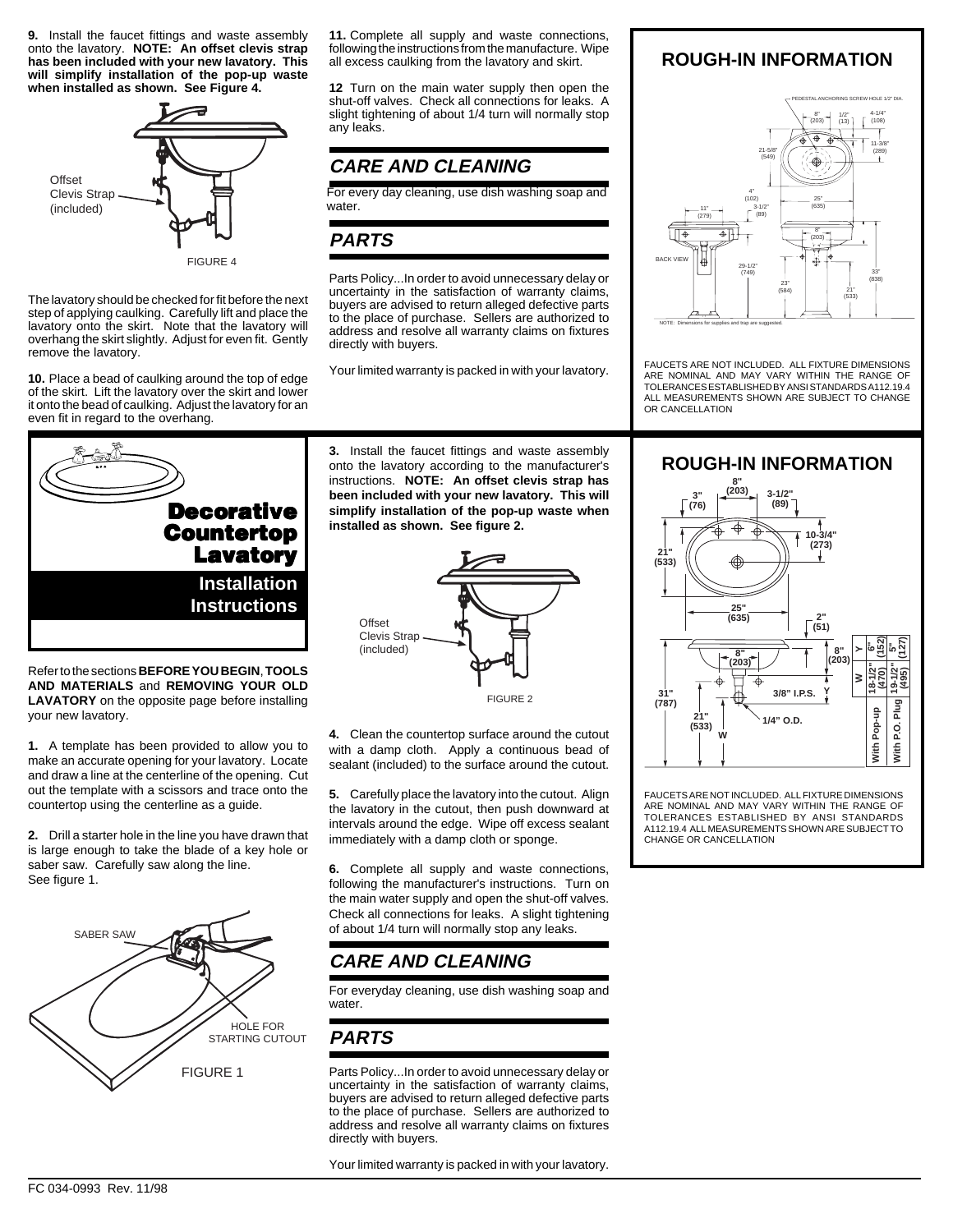**9.** Install the faucet fittings and waste assembly onto the lavatory. **NOTE: An offset clevis strap has been included with your new lavatory. This will simplify installation of the pop-up waste when installed as shown. See Figure 4.**



FIGURE 4

The lavatory should be checked for fit before the next step of applying caulking. Carefully lift and place the lavatory onto the skirt. Note that the lavatory will overhang the skirt slightly. Adjust for even fit. Gently remove the lavatory.

**10.** Place a bead of caulking around the top of edge of the skirt. Lift the lavatory over the skirt and lower it onto the bead of caulking. Adjust the lavatory for an even fit in regard to the overhang.

**Installation Instructions Decorative Countertop Lavatory**

Refer to the sections **BEFORE YOU BEGIN**, **TOOLS AND MATERIALS** and **REMOVING YOUR OLD LAVATORY** on the opposite page before installing your new lavatory.

**1.** A template has been provided to allow you to make an accurate opening for your lavatory. Locate and draw a line at the centerline of the opening. Cut out the template with a scissors and trace onto the countertop using the centerline as a guide.

**2.** Drill a starter hole in the line you have drawn that is large enough to take the blade of a key hole or saber saw. Carefully saw along the line. See figure 1.



**11.** Complete all supply and waste connections, following the instructions from the manufacture. Wipe all excess caulking from the lavatory and skirt.

**12** Turn on the main water supply then open the shut-off valves. Check all connections for leaks. A slight tightening of about 1/4 turn will normally stop any leaks.

## **CARE AND CLEANING**

For every day cleaning, use dish washing soap and water.

### **PARTS**

Parts Policy...In order to avoid unnecessary delay or uncertainty in the satisfaction of warranty claims, buyers are advised to return alleged defective parts to the place of purchase. Sellers are authorized to address and resolve all warranty claims on fixtures directly with buyers.

Your limited warranty is packed in with your lavatory.

**3.** Install the faucet fittings and waste assembly onto the lavatory according to the manufacturer's instructions. **NOTE: An offset clevis strap has been included with your new lavatory. This will simplify installation of the pop-up waste when installed as shown. See figure 2.**



**4.** Clean the countertop surface around the cutout with a damp cloth. Apply a continuous bead of sealant (included) to the surface around the cutout.

**5.** Carefully place the lavatory into the cutout. Align the lavatory in the cutout, then push downward at intervals around the edge. Wipe off excess sealant immediately with a damp cloth or sponge.

**6.** Complete all supply and waste connections, following the manufacturer's instructions. Turn on the main water supply and open the shut-off valves. Check all connections for leaks. A slight tightening of about 1/4 turn will normally stop any leaks.

# **CARE AND CLEANING**

For everyday cleaning, use dish washing soap and water.

# **PARTS**

Parts Policy...In order to avoid unnecessary delay or uncertainty in the satisfaction of warranty claims, buyers are advised to return alleged defective parts to the place of purchase. Sellers are authorized to address and resolve all warranty claims on fixtures directly with buyers.

Your limited warranty is packed in with your lavatory.

### **ROUGH-IN INFORMATION**



FAUCETS ARE NOT INCLUDED. ALL FIXTURE DIMENSIONS ARE NOMINAL AND MAY VARY WITHIN THE RANGE OF TOLERANCES ESTABLISHED BY ANSI STANDARDS A112.19.4 ALL MEASUREMENTS SHOWN ARE SUBJECT TO CHANGE OR CANCELLATION

#### **ROUGH-IN INFORMATION**



FAUCETS ARE NOT INCLUDED. ALL FIXTURE DIMENSIONS ARE NOMINAL AND MAY VARY WITHIN THE RANGE OF TOLERANCES ESTABLISHED BY ANSI STANDARDS A112.19.4 ALL MEASUREMENTS SHOWN ARE SUBJECT TO CHANGE OR CANCELLATION